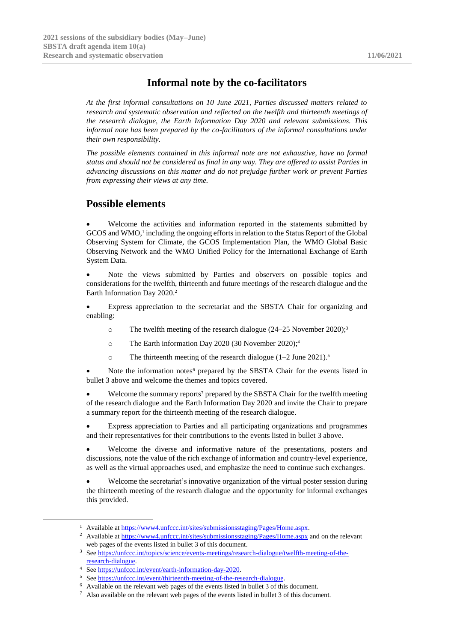## **Informal note by the co-facilitators**

*At the first informal consultations on 10 June 2021, Parties discussed matters related to research and systematic observation and reflected on the twelfth and thirteenth meetings of the research dialogue, the Earth Information Day 2020 and relevant submissions. This informal note has been prepared by the co-facilitators of the informal consultations under their own responsibility.*

*The possible elements contained in this informal note are not exhaustive, have no formal status and should not be considered as final in any way. They are offered to assist Parties in advancing discussions on this matter and do not prejudge further work or prevent Parties from expressing their views at any time.*

## **Possible elements**

Welcome the activities and information reported in the statements submitted by GCOS and WMO, 1 including the ongoing efforts in relation to the Status Report of the Global Observing System for Climate, the GCOS Implementation Plan, the WMO Global Basic Observing Network and the WMO Unified Policy for the International Exchange of Earth System Data.

• Note the views submitted by Parties and observers on possible topics and considerations for the twelfth, thirteenth and future meetings of the research dialogue and the Earth Information Day 2020.<sup>2</sup>

• Express appreciation to the secretariat and the SBSTA Chair for organizing and enabling:

- o The twelfth meeting of the research dialogue (24–25 November 2020); 3
- o The Earth information Day 2020 (30 November 2020); 4
- o The thirteenth meeting of the research dialogue (1–2 June 2021). 5

Note the information notes<sup>6</sup> prepared by the SBSTA Chair for the events listed in bullet 3 above and welcome the themes and topics covered.

Welcome the summary reports<sup>7</sup> prepared by the SBSTA Chair for the twelfth meeting of the research dialogue and the Earth Information Day 2020 and invite the Chair to prepare a summary report for the thirteenth meeting of the research dialogue.

• Express appreciation to Parties and all participating organizations and programmes and their representatives for their contributions to the events listed in bullet 3 above.

Welcome the diverse and informative nature of the presentations, posters and discussions, note the value of the rich exchange of information and country-level experience, as well as the virtual approaches used, and emphasize the need to continue such exchanges.

Welcome the secretariat's innovative organization of the virtual poster session during the thirteenth meeting of the research dialogue and the opportunity for informal exchanges this provided.

-

<sup>&</sup>lt;sup>1</sup> Available at [https://www4.unfccc.int/sites/submissionsstaging/Pages/Home.aspx.](https://www4.unfccc.int/sites/submissionsstaging/Pages/Home.aspx)

<sup>&</sup>lt;sup>2</sup> Available at<https://www4.unfccc.int/sites/submissionsstaging/Pages/Home.aspx> and on the relevant web pages of the events listed in bullet 3 of this document.

<sup>3</sup> Se[e https://unfccc.int/topics/science/events-meetings/research-dialogue/twelfth-meeting-of-the](https://unfccc.int/topics/science/events-meetings/research-dialogue/twelfth-meeting-of-the-research-dialogue)[research-dialogue.](https://unfccc.int/topics/science/events-meetings/research-dialogue/twelfth-meeting-of-the-research-dialogue)

<sup>4</sup> Se[e https://unfccc.int/event/earth-information-day-2020.](https://unfccc.int/event/earth-information-day-2020)

<sup>5</sup> Se[e https://unfccc.int/event/thirteenth-meeting-of-the-research-dialogue.](https://unfccc.int/event/thirteenth-meeting-of-the-research-dialogue)

<sup>6</sup> Available on the relevant web pages of the events listed in bullet 3 of this document.

<sup>7</sup> Also available on the relevant web pages of the events listed in bullet 3 of this document.